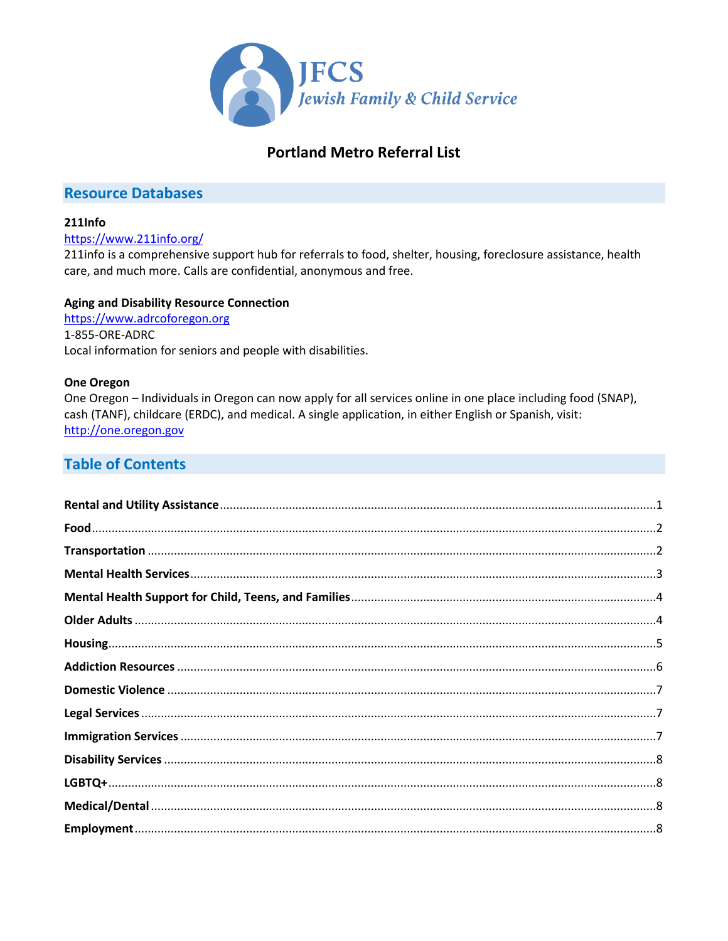

## **Portland Metro Referral List**

## **Resource Databases**

#### 211Info

https://www.211info.org/

211info is a comprehensive support hub for referrals to food, shelter, housing, foreclosure assistance, health care, and much more. Calls are confidential, anonymous and free.

## **Aging and Disability Resource Connection**

https://www.adrcoforegon.org 1-855-ORE-ADRC Local information for seniors and people with disabilities.

## **One Oregon**

One Oregon - Individuals in Oregon can now apply for all services online in one place including food (SNAP), cash (TANF), childcare (ERDC), and medical. A single application, in either English or Spanish, visit: http://one.oregon.gov

## **Table of Contents**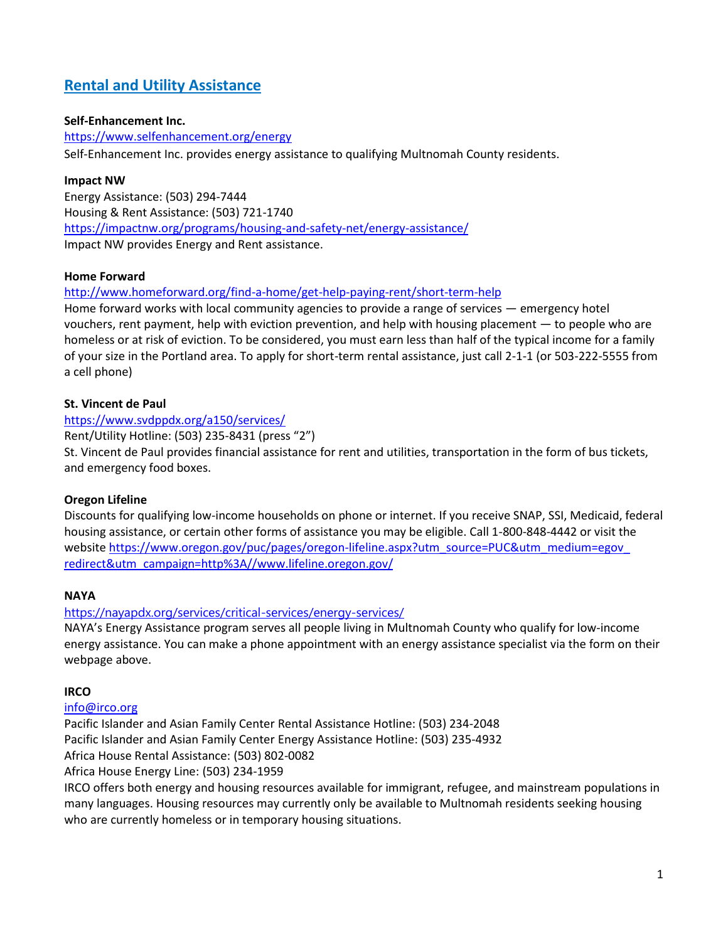## <span id="page-1-0"></span>**Rental and Utility Assistance**

## **Self-Enhancement Inc.**

<https://www.selfenhancement.org/energy> Self-Enhancement Inc. provides energy assistance to qualifying Multnomah County residents.

## **Impact NW**

Energy Assistance: (503) 294-7444 Housing & Rent Assistance: (503) 721-1740 <https://impactnw.org/programs/housing-and-safety-net/energy-assistance/> Impact NW provides Energy and Rent assistance.

#### **Home Forward**

<http://www.homeforward.org/find-a-home/get-help-paying-rent/short-term-help>

Home forward works with local community agencies to provide a range of services — emergency hotel vouchers, rent payment, help with eviction prevention, and help with housing placement — to people who are homeless or at risk of eviction. To be considered, you must earn less than half of the typical income for a family of your size in the Portland area. To apply for short-term rental assistance, just call 2-1-1 (or 503-222-5555 from a cell phone)

## **St. Vincent de Paul**

#### <https://www.svdppdx.org/a150/services/>

Rent/Utility Hotline: (503) 235-8431 (press "2")

St. Vincent de Paul provides financial assistance for rent and utilities, transportation in the form of bus tickets, and emergency food boxes.

## **Oregon Lifeline**

Discounts for qualifying low-income households on phone or internet. If you receive SNAP, SSI, Medicaid, federal housing assistance, or certain other forms of assistance you may be eligible. Call 1-800-848-4442 or visit the website https://www.oregon.gov/puc/pages/oregon-lifeline.aspx?utm\_source=PUC&utm\_medium=egov [redirect&utm\\_campaign=http%3A//www.lifeline.oregon.gov/](https://www.oregon.gov/puc/pages/oregon-lifeline.aspx?utm_source=PUC&utm_medium=egov_%20redirect&utm_campaign=http%3A//www.lifeline.oregon.gov/)

## **NAYA**

#### <https://nayapdx.org/services/critical-services/energy-services/>

NAYA's Energy Assistance program serves all people living in Multnomah County who qualify for low-income energy assistance. You can make a phone appointment with an energy assistance specialist via the form on their webpage above.

## **IRCO**

#### [info@irco.org](mailto:info@irco.org)

Pacific Islander and Asian Family Center Rental Assistance Hotline: (503) 234-2048 Pacific Islander and Asian Family Center Energy Assistance Hotline: (503) 235-4932

Africa House Rental Assistance: (503) 802-0082

Africa House Energy Line: (503) 234-1959

IRCO offers both energy and housing resources available for immigrant, refugee, and mainstream populations in many languages. Housing resources may currently only be available to Multnomah residents seeking housing who are currently homeless or in temporary housing situations.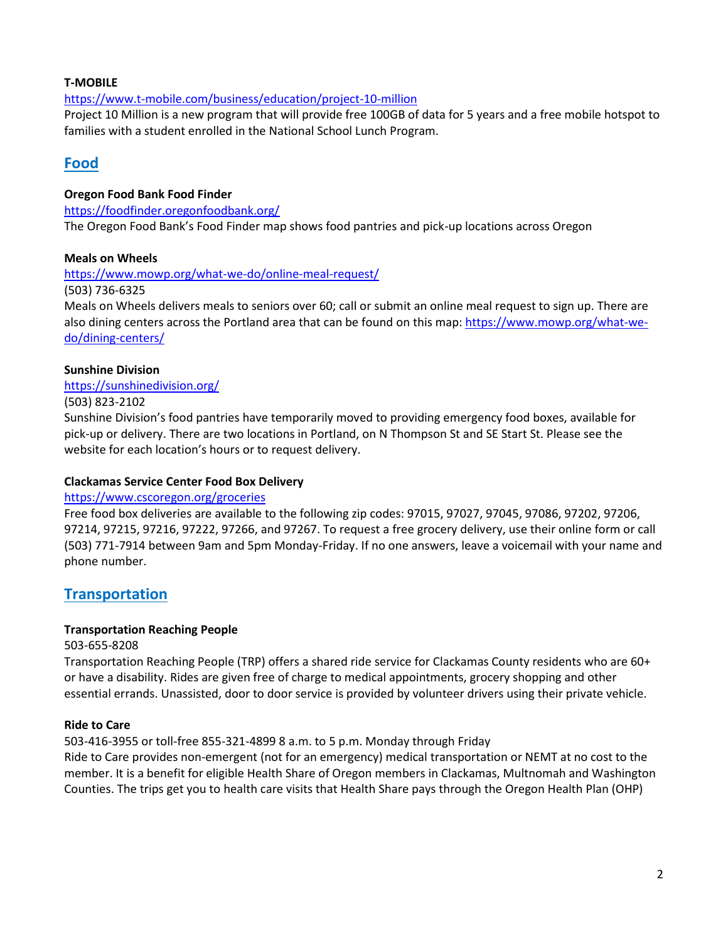#### **T-MOBILE**

<https://www.t-mobile.com/business/education/project-10-million>

Project 10 Million is a new program that will provide free 100GB of data for 5 years and a free mobile hotspot to families with a student enrolled in the National School Lunch Program.

## <span id="page-2-0"></span>**Food**

## **Oregon Food Bank Food Finder**

<https://foodfinder.oregonfoodbank.org/> The Oregon Food Bank's Food Finder map shows food pantries and pick-up locations across Oregon

## **Meals on Wheels**

<https://www.mowp.org/what-we-do/online-meal-request/>

(503) 736-6325

Meals on Wheels delivers meals to seniors over 60; call or submit an online meal request to sign up. There are also dining centers across the Portland area that can be found on this map: [https://www.mowp.org/what-we](https://www.mowp.org/what-we-do/dining-centers/)[do/dining-centers/](https://www.mowp.org/what-we-do/dining-centers/)

## **Sunshine Division**

## <https://sunshinedivision.org/>

#### (503) 823-2102

Sunshine Division's food pantries have temporarily moved to providing emergency food boxes, available for pick-up or delivery. There are two locations in Portland, on N Thompson St and SE Start St. Please see the website for each location's hours or to request delivery.

## **Clackamas Service Center Food Box Delivery**

#### <https://www.cscoregon.org/groceries>

Free food box deliveries are available to the following zip codes: 97015, 97027, 97045, 97086, 97202, 97206, 97214, 97215, 97216, 97222, 97266, and 97267. To request a free grocery delivery, use their online form or call (503) 771-7914 between 9am and 5pm Monday-Friday. If no one answers, leave a voicemail with your name and phone number.

## <span id="page-2-1"></span>**Transportation**

## **Transportation Reaching People**

#### 503-655-8208

Transportation Reaching People (TRP) offers a shared ride service for Clackamas County residents who are 60+ or have a disability. Rides are given free of charge to medical appointments, grocery shopping and other essential errands. Unassisted, door to door service is provided by volunteer drivers using their private vehicle.

## **Ride to Care**

503-416-3955 or toll-free 855-321-4899 8 a.m. to 5 p.m. Monday through Friday

Ride to Care provides non-emergent (not for an emergency) medical transportation or NEMT at no cost to the member. It is a benefit for eligible Health Share of Oregon members in Clackamas, Multnomah and Washington Counties. The trips get you to health care visits that Health Share pays through the Oregon Health Plan (OHP)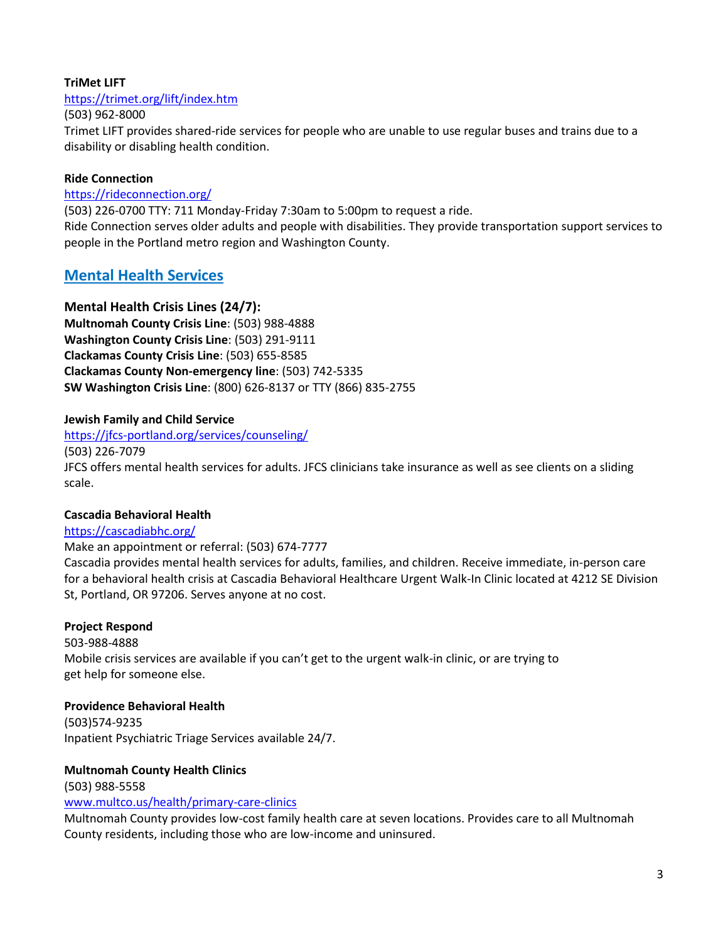## **TriMet LIFT**

### <https://trimet.org/lift/index.htm>

### (503) 962-8000

Trimet LIFT provides shared-ride services for people who are unable to use regular buses and trains due to a disability or disabling health condition.

## **Ride Connection**

## <https://rideconnection.org/>

(503) 226-0700 TTY: 711 Monday-Friday 7:30am to 5:00pm to request a ride.

Ride Connection serves older adults and people with disabilities. They provide transportation support services to people in the Portland metro region and Washington County.

## <span id="page-3-0"></span>**Mental Health Services**

## **Mental Health Crisis Lines (24/7):**

**Multnomah County Crisis Line**: (503) 988-4888 **Washington County Crisis Line**: (503) 291-9111 **Clackamas County Crisis Line**: (503) 655-8585 **Clackamas County Non-emergency line**: (503) 742-5335 **SW Washington Crisis Line**: (800) 626-8137 or TTY (866) 835-2755

## **Jewish Family and Child Service**

<https://jfcs-portland.org/services/counseling/>

#### (503) 226-7079

JFCS offers mental health services for adults. JFCS clinicians take insurance as well as see clients on a sliding scale.

### **Cascadia Behavioral Health**

#### <https://cascadiabhc.org/>

Make an appointment or referral: (503) 674-7777

Cascadia provides mental health services for adults, families, and children. Receive immediate, in-person care for a behavioral health crisis at Cascadia Behavioral Healthcare Urgent Walk-In Clinic located at 4212 SE Division St, Portland, OR 97206. Serves anyone at no cost.

#### **Project Respond**

#### 503-988-4888

Mobile crisis services are available if you can't get to the urgent walk-in clinic, or are trying to get help for someone else.

#### **Providence Behavioral Health**

(503)574-9235 Inpatient Psychiatric Triage Services available 24/7.

## **Multnomah County Health Clinics**

(503) 988-5558

#### <www.multco.us/health/primary-care-clinics>

Multnomah County provides low-cost family health care at seven locations. Provides care to all Multnomah County residents, including those who are low-income and uninsured.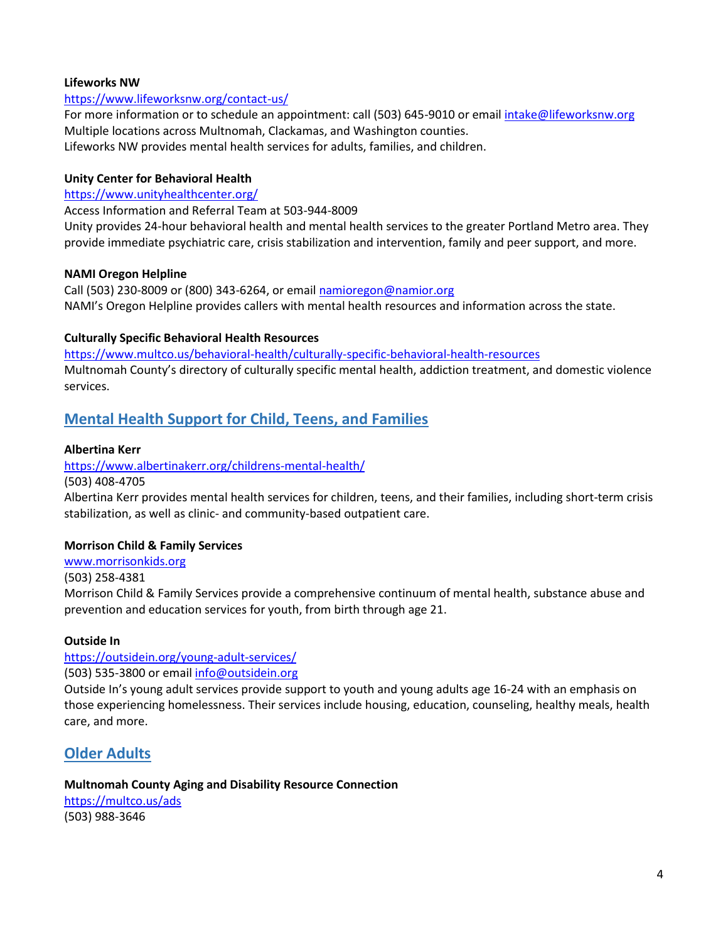#### **Lifeworks NW**

#### <https://www.lifeworksnw.org/contact-us/>

For more information or to schedule an appointment: call (503) 645-9010 or email [intake@lifeworksnw.org](mailto:intake@lifeworksnw.org) Multiple locations across Multnomah, Clackamas, and Washington counties. Lifeworks NW provides mental health services for adults, families, and children.

#### **Unity Center for Behavioral Health**

#### <https://www.unityhealthcenter.org/>

Access Information and Referral Team at 503-944-8009

Unity provides 24-hour behavioral health and mental health services to the greater Portland Metro area. They provide immediate psychiatric care, crisis stabilization and intervention, family and peer support, and more.

#### **NAMI Oregon Helpline**

Call (503) 230-8009 or (800) 343-6264, or email [namioregon@namior.org](mailto:namioregon@namior.org) NAMI's Oregon Helpline provides callers with mental health resources and information across the state.

#### **Culturally Specific Behavioral Health Resources**

<https://www.multco.us/behavioral-health/culturally-specific-behavioral-health-resources> Multnomah County's directory of culturally specific mental health, addiction treatment, and domestic violence services.

## <span id="page-4-0"></span>**Mental Health Support for Child, Teens, and Families**

#### **Albertina Kerr**

<https://www.albertinakerr.org/childrens-mental-health/>

(503) 408-4705

Albertina Kerr provides mental health services for children, teens, and their families, including short-term crisis stabilization, as well as clinic- and community-based outpatient care.

#### **Morrison Child & Family Services**

[www.morrisonkids.org](http://www.morrisonkids.org/)

(503) 258-4381

Morrison Child & Family Services provide a comprehensive continuum of mental health, substance abuse and prevention and education services for youth, from birth through age 21.

#### **Outside In**

<https://outsidein.org/young-adult-services/>

(503) 535-3800 or email [info@outsidein.org](mailto:info@outsidein.org)

Outside In's young adult services provide support to youth and young adults age 16-24 with an emphasis on those experiencing homelessness. Their services include housing, education, counseling, healthy meals, health care, and more.

## <span id="page-4-1"></span>**Older Adults**

## **Multnomah County Aging and Disability Resource Connection**

<https://multco.us/ads> (503) 988-3646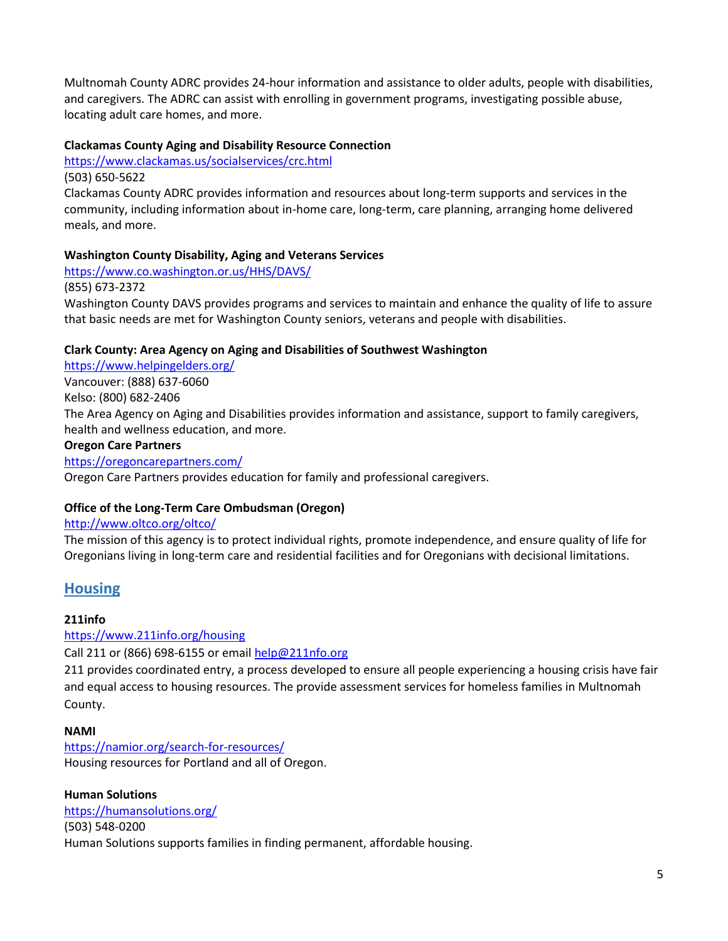Multnomah County ADRC provides 24-hour information and assistance to older adults, people with disabilities, and caregivers. The ADRC can assist with enrolling in government programs, investigating possible abuse, locating adult care homes, and more.

## **Clackamas County Aging and Disability Resource Connection**

<https://www.clackamas.us/socialservices/crc.html>

(503) 650-5622

Clackamas County ADRC provides information and resources about long-term supports and services in the community, including information about in-home care, long-term, care planning, arranging home delivered meals, and more.

## **Washington County Disability, Aging and Veterans Services**

<https://www.co.washington.or.us/HHS/DAVS/>

(855) 673-2372

Washington County DAVS provides programs and services to maintain and enhance the quality of life to assure that basic needs are met for Washington County seniors, veterans and people with disabilities.

## **Clark County: Area Agency on Aging and Disabilities of Southwest Washington**

<https://www.helpingelders.org/>

Vancouver: (888) 637-6060

Kelso: (800) 682-2406

The Area Agency on Aging and Disabilities provides information and assistance, support to family caregivers, health and wellness education, and more.

## **Oregon Care Partners**

<https://oregoncarepartners.com/>

Oregon Care Partners provides education for family and professional caregivers.

## **Office of the Long-Term Care Ombudsman (Oregon)**

<http://www.oltco.org/oltco/>

The mission of this agency is to protect individual rights, promote independence, and ensure quality of life for Oregonians living in long-term care and residential facilities and for Oregonians with decisional limitations.

## <span id="page-5-0"></span>**Housing**

## **211info**

<https://www.211info.org/housing>

Call 211 or (866) 698-6155 or email [help@211nfo.org](mailto:help@211nfo.org)

211 provides coordinated entry, a process developed to ensure all people experiencing a housing crisis have fair and equal access to housing resources. The provide assessment services for homeless families in Multnomah County.

#### **NAMI**

<https://namior.org/search-for-resources/> Housing resources for Portland and all of Oregon.

**Human Solutions** <https://humansolutions.org/> (503) 548-0200 Human Solutions supports families in finding permanent, affordable housing.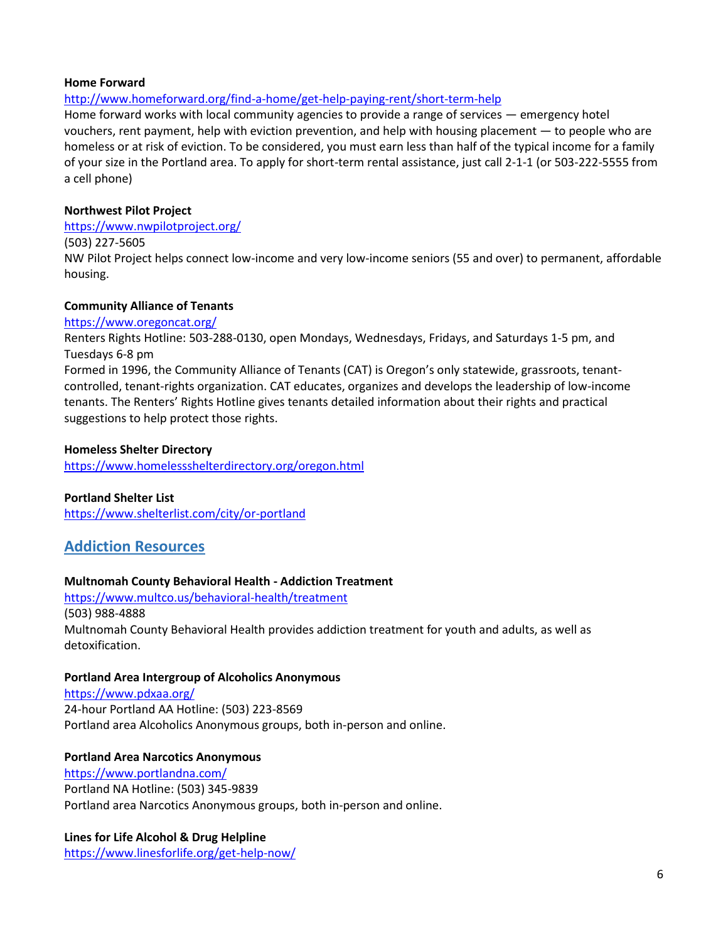#### **Home Forward**

<http://www.homeforward.org/find-a-home/get-help-paying-rent/short-term-help>

Home forward works with local community agencies to provide a range of services — emergency hotel vouchers, rent payment, help with eviction prevention, and help with housing placement — to people who are homeless or at risk of eviction. To be considered, you must earn less than half of the typical income for a family of your size in the Portland area. To apply for short-term rental assistance, just call 2-1-1 (or 503-222-5555 from a cell phone)

### **Northwest Pilot Project**

<https://www.nwpilotproject.org/>

(503) 227-5605

NW Pilot Project helps connect low-income and very low-income seniors (55 and over) to permanent, affordable housing.

## **Community Alliance of Tenants**

#### <https://www.oregoncat.org/>

Renters Rights Hotline: 503-288-0130, open Mondays, Wednesdays, Fridays, and Saturdays 1-5 pm, and Tuesdays 6-8 pm

Formed in 1996, the Community Alliance of Tenants (CAT) is Oregon's only statewide, grassroots, tenantcontrolled, tenant-rights organization. CAT educates, organizes and develops the leadership of low-income tenants. The Renters' Rights Hotline gives tenants detailed information about their rights and practical suggestions to help protect those rights.

#### **Homeless Shelter Directory**

<https://www.homelessshelterdirectory.org/oregon.html>

## **Portland Shelter List**

<span id="page-6-0"></span><https://www.shelterlist.com/city/or-portland>

## **Addiction Resources**

## **Multnomah County Behavioral Health - Addiction Treatment**

<https://www.multco.us/behavioral-health/treatment> (503) 988-4888 Multnomah County Behavioral Health provides addiction treatment for youth and adults, as well as detoxification.

#### **Portland Area Intergroup of Alcoholics Anonymous**

<https://www.pdxaa.org/> 24-hour Portland AA Hotline: (503) 223-8569 Portland area Alcoholics Anonymous groups, both in-person and online.

#### **Portland Area Narcotics Anonymous**

<https://www.portlandna.com/> Portland NA Hotline: (503) 345-9839 Portland area Narcotics Anonymous groups, both in-person and online.

## **Lines for Life Alcohol & Drug Helpline**

<https://www.linesforlife.org/get-help-now/>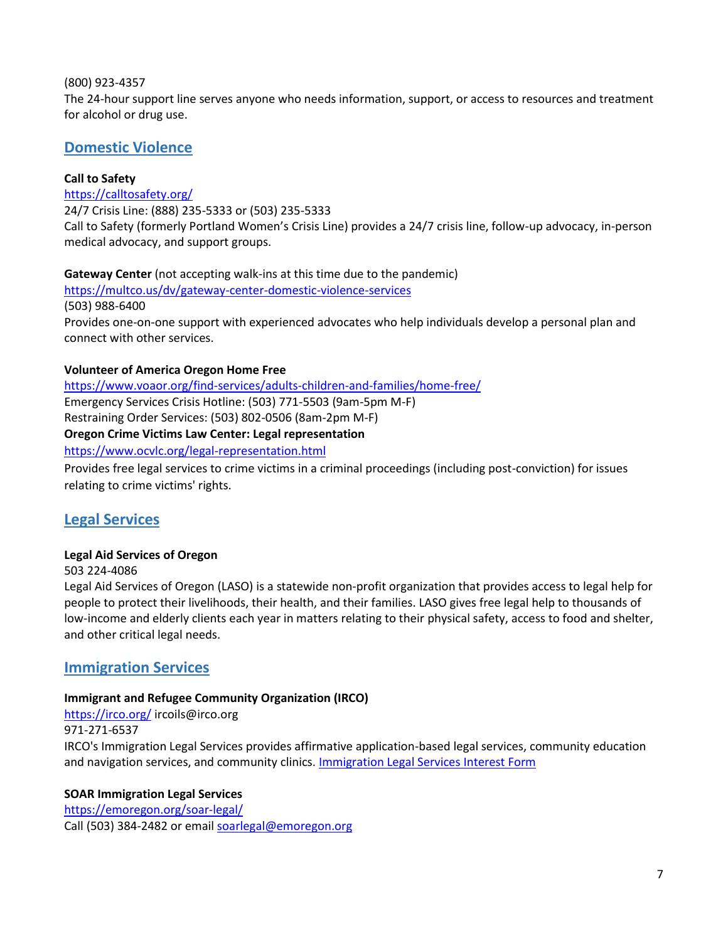(800) 923-4357

The 24-hour support line serves anyone who needs information, support, or access to resources and treatment for alcohol or drug use.

## <span id="page-7-0"></span>**Domestic Violence**

## **Call to Safety**

<https://calltosafety.org/> 24/7 Crisis Line: (888) 235-5333 or (503) 235-5333 Call to Safety (formerly Portland Women's Crisis Line) provides a 24/7 crisis line, follow-up advocacy, in-person medical advocacy, and support groups.

**Gateway Center** (not accepting walk-ins at this time due to the pandemic) <https://multco.us/dv/gateway-center-domestic-violence-services> (503) 988-6400 Provides one-on-one support with experienced advocates who help individuals develop a personal plan and connect with other services.

## **Volunteer of America Oregon Home Free**

<https://www.voaor.org/find-services/adults-children-and-families/home-free/> Emergency Services Crisis Hotline: (503) 771-5503 (9am-5pm M-F) Restraining Order Services: (503) 802-0506 (8am-2pm M-F) **Oregon Crime Victims Law Center: Legal representation**

<https://www.ocvlc.org/legal-representation.html>

Provides free legal services to crime victims in a criminal proceedings (including post-conviction) for issues relating to crime victims' rights.

## <span id="page-7-1"></span>**Legal Services**

## **Legal Aid Services of Oregon**

503 224-4086

Legal Aid Services of Oregon (LASO) is a statewide non-profit organization that provides access to legal help for people to protect their livelihoods, their health, and their families. LASO gives free legal help to thousands of low-income and elderly clients each year in matters relating to their physical safety, access to food and shelter, and other critical legal needs.

## <span id="page-7-2"></span>**Immigration Services**

## **Immigrant and Refugee Community Organization (IRCO)**

<https://irco.org/> ircoils@irco.org 971-271-6537 IRCO's Immigration Legal Services provides affirmative application-based legal services, community education and navigation services, and community clinics. **Immigration Legal Services Interest Form** 

## **SOAR Immigration Legal Services**

<https://emoregon.org/soar-legal/> Call (503) 384-2482 or emai[l soarlegal@emoregon.org](mailto:soarlegal@emoregon.org)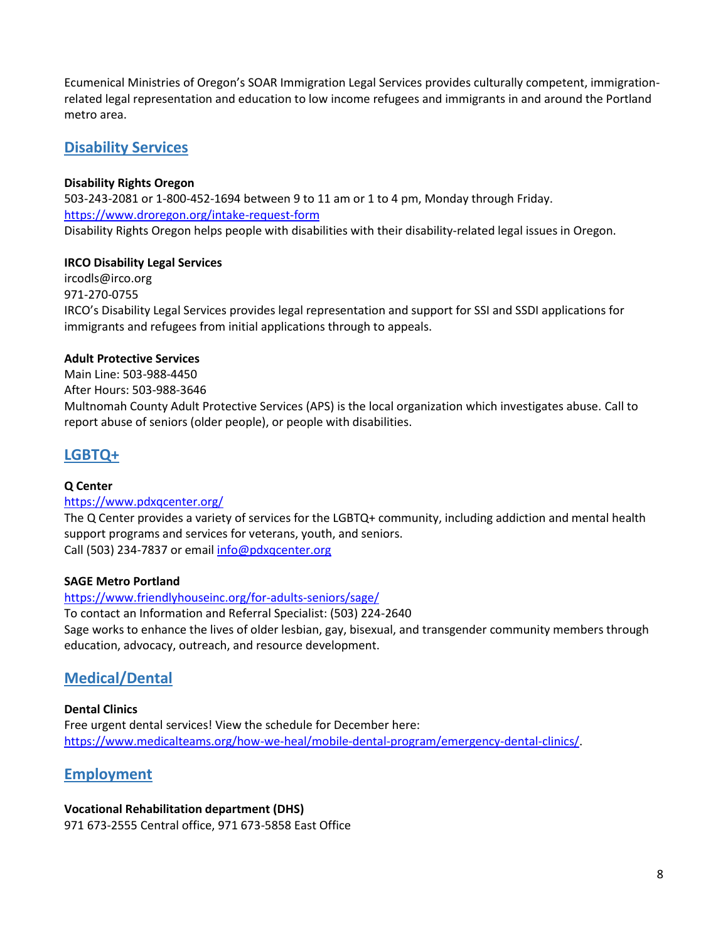Ecumenical Ministries of Oregon's SOAR Immigration Legal Services provides culturally competent, immigrationrelated legal representation and education to low income refugees and immigrants in and around the Portland metro area.

## <span id="page-8-0"></span>**Disability Services**

## **Disability Rights Oregon**

503-243-2081 or 1-800-452-1694 between 9 to 11 am or 1 to 4 pm, Monday through Friday. <https://www.droregon.org/intake-request-form> Disability Rights Oregon helps people with disabilities with their disability-related legal issues in Oregon.

## **IRCO Disability Legal Services**

ircodls@irco.org 971-270-0755 IRCO's Disability Legal Services provides legal representation and support for SSI and SSDI applications for immigrants and refugees from initial applications through to appeals.

## **Adult Protective Services**

Main Line: 503-988-4450 After Hours: 503-988-3646 Multnomah County Adult Protective Services (APS) is the local organization which investigates abuse. Call to report abuse of seniors (older people), or people with disabilities.

## <span id="page-8-1"></span>**LGBTQ+**

## **Q Center**

#### <https://www.pdxqcenter.org/>

The Q Center provides a variety of services for the LGBTQ+ community, including addiction and mental health support programs and services for veterans, youth, and seniors. Call (503) 234-7837 or emai[l info@pdxqcenter.org](mailto:info@pdxqcenter.org)

#### **SAGE Metro Portland**

<https://www.friendlyhouseinc.org/for-adults-seniors/sage/>

To contact an Information and Referral Specialist: (503) 224-2640 Sage works to enhance the lives of older lesbian, gay, bisexual, and transgender community members through education, advocacy, outreach, and resource development.

## <span id="page-8-2"></span>**Medical/Dental**

#### **Dental Clinics** Free urgent dental services! View the schedule for December here: [https://www.medicalteams.org/how-we-heal/mobile-dental-program/emergency-dental-clinics/.](https://www.medicalteams.org/how-we-heal/mobile-dental-program/emergency-dental-clinics/)

## <span id="page-8-3"></span>**Employment**

# **Vocational Rehabilitation department (DHS)**

971 673-2555 Central office, 971 673-5858 East Office